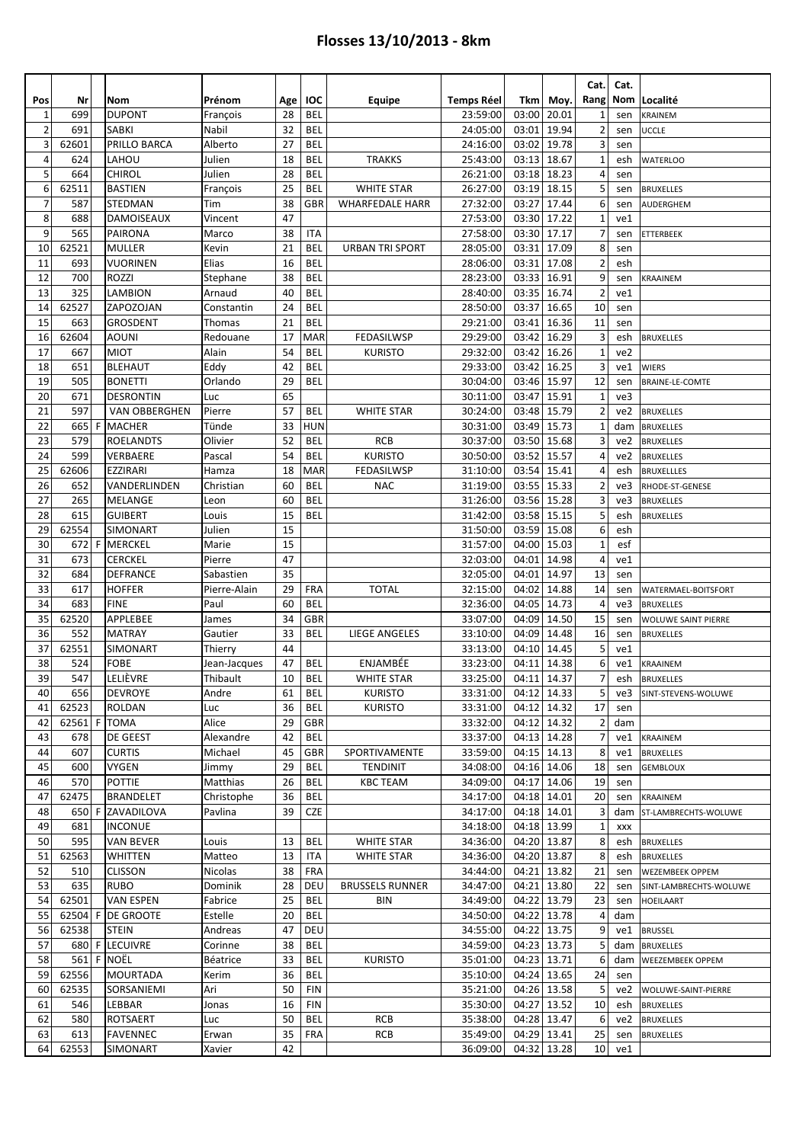|                |                |    |                             |                      |          |                          |                        |                      |                |                              | Cat.                    | Cat.       |                                     |
|----------------|----------------|----|-----------------------------|----------------------|----------|--------------------------|------------------------|----------------------|----------------|------------------------------|-------------------------|------------|-------------------------------------|
| Pos            | Nr             |    | Nom                         | Prénom               | Age      | <b>IOC</b>               | <b>Equipe</b>          | <b>Temps Réel</b>    | Tkm            | Moy.                         | Rang                    | Nom        | Localité                            |
| $\mathbf{1}$   | 699            |    | <b>DUPONT</b>               | François             | 28       | BEL                      |                        | 23:59:00             | 03:00          | 20.01                        | 1                       | sen        | <b>KRAINEM</b>                      |
| $\overline{2}$ | 691            |    | SABKI                       | Nabil                | 32       | <b>BEL</b>               |                        | 24:05:00             | 03:01          | 19.94                        | $\overline{2}$          | sen        | UCCLE                               |
| 3              | 62601          |    | PRILLO BARCA                | Alberto              | 27       | <b>BEL</b>               |                        | 24:16:00             | 03:02          | 19.78                        | 3                       | sen        |                                     |
| 4              | 624            |    | LAHOU                       | Julien               | 18       | <b>BEL</b>               | <b>TRAKKS</b>          | 25:43:00             |                | 03:13 18.67                  | $\mathbf{1}$            | esh        | <b>WATERLOO</b>                     |
| 5              | 664            |    | <b>CHIROL</b>               | Julien               | 28       | <b>BEL</b>               |                        | 26:21:00             | 03:18          | 18.23                        | 4                       | sen        |                                     |
| 6              | 62511          |    | <b>BASTIEN</b>              | François             | 25       | <b>BEL</b>               | <b>WHITE STAR</b>      | 26:27:00             | 03:19          | 18.15                        | 5                       | sen        | <b>BRUXELLES</b>                    |
| $\overline{7}$ | 587            |    | STEDMAN                     | Tim                  | 38       | <b>GBR</b>               | <b>WHARFEDALE HARR</b> | 27:32:00             | 03:27          | 17.44                        | 6                       | sen        | <b>AUDERGHEM</b>                    |
| 8              | 688            |    | <b>DAMOISEAUX</b>           | Vincent              | 47       |                          |                        | 27:53:00             |                | 03:30 17.22                  | $\mathbf{1}$            | ve1        |                                     |
| 9              | 565            |    | PAIRONA                     | Marco                | 38       | ITA                      |                        | 27:58:00             | 03:30          | 17.17                        | $\overline{7}$          | sen        | ETTERBEEK                           |
| 10             | 62521          |    | <b>MULLER</b>               | Kevin                | 21       | <b>BEL</b>               | <b>URBAN TRI SPORT</b> | 28:05:00             | 03:31          | 17.09                        | 8                       | sen        |                                     |
| 11             | 693            |    | <b>VUORINEN</b>             | Elias                | 16       | <b>BEL</b>               |                        | 28:06:00             | 03:31          | 17.08                        | $\overline{2}$          | esh        |                                     |
| 12<br>13       | 700<br>325     |    | <b>ROZZI</b>                | Stephane             | 38       | <b>BEL</b>               |                        | 28:23:00             | 03:33          | 16.91<br>16.74               | 9<br>$\overline{2}$     | sen        | KRAAINEM                            |
| 14             | 62527          |    | <b>LAMBION</b><br>ZAPOZOJAN | Arnaud<br>Constantin | 40<br>24 | <b>BEL</b><br><b>BEL</b> |                        | 28:40:00<br>28:50:00 | 03:35<br>03:37 | 16.65                        | 10                      | ve1        |                                     |
| 15             | 663            |    | <b>GROSDENT</b>             | Thomas               | 21       | <b>BEL</b>               |                        | 29:21:00             | 03:41          | 16.36                        | 11                      | sen<br>sen |                                     |
| 16             | 62604          |    | <b>AOUNI</b>                | Redouane             | 17       | <b>MAR</b>               | FEDASILWSP             | 29:29:00             | 03:42          | 16.29                        | 3                       | esh        | <b>BRUXELLES</b>                    |
| 17             | 667            |    | <b>MIOT</b>                 | Alain                | 54       | <b>BEL</b>               | <b>KURISTO</b>         | 29:32:00             | 03:42          | 16.26                        | $\mathbf{1}$            | ve2        |                                     |
| 18             | 651            |    | <b>BLEHAUT</b>              | Eddy                 | 42       | <b>BEL</b>               |                        | 29:33:00             | 03:42          | 16.25                        | 3                       | ve1        | <b>WIERS</b>                        |
| 19             | 505            |    | <b>BONETTI</b>              | Orlando              | 29       | <b>BEL</b>               |                        | 30:04:00             |                | 03:46 15.97                  | 12                      | sen        | <b>BRAINE-LE-COMTE</b>              |
| 20             | 671            |    | <b>DESRONTIN</b>            | Luc                  | 65       |                          |                        | 30:11:00             | 03:47          | 15.91                        | $\mathbf{1}$            | ve3        |                                     |
| 21             | 597            |    | <b>VAN OBBERGHEN</b>        | Pierre               | 57       | BEL                      | <b>WHITE STAR</b>      | 30:24:00             | 03:48 15.79    |                              | $\overline{2}$          | ve2        | <b>BRUXELLES</b>                    |
| 22             | 665            | F  | <b>MACHER</b>               | Tünde                | 33       | <b>HUN</b>               |                        | 30:31:00             | 03:49          | 15.73                        | 1                       | dam        | <b>BRUXELLES</b>                    |
| 23             | 579            |    | <b>ROELANDTS</b>            | Olivier              | 52       | <b>BEL</b>               | <b>RCB</b>             | 30:37:00             | 03:50          | 15.68                        | 3                       | ve2        | <b>BRUXELLES</b>                    |
| 24             | 599            |    | VERBAERE                    | Pascal               | 54       | <b>BEL</b>               | <b>KURISTO</b>         | 30:50:00             | 03:52          | 15.57                        | 4                       | ve2        | <b>BRUXELLES</b>                    |
| 25             | 62606          |    | <b>EZZIRARI</b>             | Hamza                | 18       | <b>MAR</b>               | FEDASILWSP             | 31:10:00             | 03:54          | 15.41                        | 4                       | esh        | <b>BRUXELLLES</b>                   |
| 26             | 652            |    | VANDERLINDEN                | Christian            | 60       | <b>BEL</b>               | <b>NAC</b>             | 31:19:00             |                | 03:55 15.33                  | $\overline{2}$          | ve3        | RHODE-ST-GENESE                     |
| 27             | 265            |    | MELANGE                     | Leon                 | 60       | <b>BEL</b>               |                        | 31:26:00             | 03:56 15.28    |                              | 3                       | ve3        | <b>BRUXELLES</b>                    |
| 28             | 615            |    | <b>GUIBERT</b>              | Louis                | 15       | <b>BEL</b>               |                        | 31:42:00             | 03:58 15.15    |                              | 5                       | esh        | <b>BRUXELLES</b>                    |
| 29             | 62554          |    | SIMONART                    | Julien               | 15       |                          |                        | 31:50:00             | 03:59          | 15.08                        | 6                       | esh        |                                     |
| 30             | 672            | F. | MERCKEL                     | Marie                | 15       |                          |                        | 31:57:00             | 04:00          | 15.03                        | $\mathbf{1}$            | esf        |                                     |
| 31             | 673            |    | <b>CERCKEL</b>              | Pierre               | 47       |                          |                        | 32:03:00             | 04:01          | 14.98                        | 4                       | ve1        |                                     |
| 32             | 684            |    | <b>DEFRANCE</b>             | Sabastien            | 35       |                          |                        | 32:05:00             | 04:01          | 14.97                        | 13                      | sen        |                                     |
| 33             | 617            |    | <b>HOFFER</b>               | Pierre-Alain         | 29       | <b>FRA</b>               | <b>TOTAL</b>           | 32:15:00             | 04:02          | 14.88                        | 14                      | sen        | WATERMAEL-BOITSFORT                 |
| 34             | 683            |    | <b>FINE</b>                 | Paul                 | 60       | BEL                      |                        | 32:36:00             | 04:05          | 14.73                        | $\overline{4}$          | ve3        | <b>BRUXELLES</b>                    |
| 35             | 62520          |    | APPLEBEE                    | James                | 34       | <b>GBR</b>               |                        | 33:07:00             | 04:09          | 14.50                        | 15                      | sen        | WOLUWE SAINT PIERRE                 |
| 36             | 552            |    | <b>MATRAY</b>               | Gautier              | 33       | <b>BEL</b>               | <b>LIEGE ANGELES</b>   | 33:10:00             | 04:09          | 14.48                        | 16                      | sen        | <b>BRUXELLES</b>                    |
| 37             | 62551          |    | <b>SIMONART</b>             | Thierry              | 44       |                          |                        | 33:13:00             | 04:10          | 14.45                        | 5                       | ve1        |                                     |
| 38             | 524            |    | <b>FOBE</b>                 | Jean-Jacques         | 47       | <b>BEL</b>               | ENJAMBÉE               | 33:23:00             |                | 04:11 14.38                  | 6                       |            | ve1 KRAAINEM                        |
| 39             | 547            |    | LELIÈVRE                    | Thibault             | 10       | <b>BEL</b>               | <b>WHITE STAR</b>      | 33:25:00 04:11 14.37 |                |                              | $\overline{\mathbf{z}}$ |            | esh BRUXELLES                       |
| 40             | 656            |    | <b>DEVROYE</b>              | Andre                | 61       | BEL                      | <b>KURISTO</b>         | 33:31:00             |                | 04:12 14.33                  | 5                       | ve3        | SINT-STEVENS-WOLUWE                 |
| 41             | 62523          |    | ROLDAN                      | Luc                  | 36       | <b>BEL</b>               | <b>KURISTO</b>         | 33:31:00             |                | 04:12 14.32                  | 17                      | sen        |                                     |
| 42             | 62561 F<br>678 |    | <b>TOMA</b>                 | Alice                | 29       | <b>GBR</b><br>BEL        |                        | 33:32:00             |                | 04:12 14.32                  | 2                       | dam        |                                     |
| 43<br>44       | 607            |    | DE GEEST<br><b>CURTIS</b>   | Alexandre<br>Michael | 42<br>45 | <b>GBR</b>               | SPORTIVAMENTE          | 33:37:00<br>33:59:00 |                | 04:13 14.28<br>$04:15$ 14.13 | 7<br>8                  | ve1<br>ve1 | <b>KRAAINEM</b><br><b>BRUXELLES</b> |
| 45             | 600            |    | <b>VYGEN</b>                | Jimmy                | 29       | <b>BEL</b>               | <b>TENDINIT</b>        | 34:08:00             |                | 04:16 14.06                  | 18                      | sen        | <b>GEMBLOUX</b>                     |
| 46             | 570            |    | <b>POTTIE</b>               | Matthias             | 26       | <b>BEL</b>               | <b>KBC TEAM</b>        | 34:09:00             |                | 04:17 14.06                  | 19                      | sen        |                                     |
| 47             | 62475          |    | <b>BRANDELET</b>            | Christophe           | 36       | <b>BEL</b>               |                        | 34:17:00             |                | 04:18 14.01                  | 20                      | sen        | KRAAINEM                            |
| 48             |                |    | 650 F ZAVADILOVA            | Pavlina              | 39       | CZE                      |                        | 34:17:00             |                | 04:18 14.01                  | 3                       | dam        | ST-LAMBRECHTS-WOLUWE                |
| 49             | 681            |    | <b>INCONUE</b>              |                      |          |                          |                        | 34:18:00             |                | 04:18 13.99                  | 1                       | <b>XXX</b> |                                     |
| 50             | 595            |    | VAN BEVER                   | Louis                | 13       | <b>BEL</b>               | <b>WHITE STAR</b>      | 34:36:00             |                | 04:20 13.87                  | 8                       | esh        | <b>BRUXELLES</b>                    |
| 51             | 62563          |    | WHITTEN                     | Matteo               | 13       | ITA                      | <b>WHITE STAR</b>      | 34:36:00             |                | 04:20 13.87                  | 8                       | esh        | <b>BRUXELLES</b>                    |
| 52             | 510            |    | <b>CLISSON</b>              | <b>Nicolas</b>       | 38       | FRA                      |                        | 34:44:00             |                | 04:21 13.82                  | 21                      | sen        | WEZEMBEEK OPPEM                     |
| 53             | 635            |    | <b>RUBO</b>                 | Dominik              | 28       | DEU                      | <b>BRUSSELS RUNNER</b> | 34:47:00             |                | 04:21 13.80                  | 22                      | sen        | SINT-LAMBRECHTS-WOLUWE              |
| 54             | 62501          |    | <b>VAN ESPEN</b>            | Fabrice              | 25       | <b>BEL</b>               | <b>BIN</b>             | 34:49:00             |                | 04:22 13.79                  | 23                      | sen        | HOEILAART                           |
| 55             |                |    | $62504$ F DE GROOTE         | Estelle              | 20       | <b>BEL</b>               |                        | 34:50:00             |                | 04:22 13.78                  | 4                       | dam        |                                     |
| 56             | 62538          |    | <b>STEIN</b>                | Andreas              | 47       | DEU                      |                        | 34:55:00             |                | 04:22 13.75                  | 9                       | ve1        | <b>BRUSSEL</b>                      |
| 57             | 680            | F  | LECUIVRE                    | Corinne              | 38       | <b>BEL</b>               |                        | 34:59:00             |                | 04:23 13.73                  | 5                       | dam        | <b>BRUXELLES</b>                    |
| 58             | 561            |    | F NOËL                      | Béatrice             | 33       | <b>BEL</b>               | <b>KURISTO</b>         | 35:01:00             |                | 04:23 13.71                  | 6                       | dam        | <b>WEEZEMBEEK OPPEM</b>             |
| 59             | 62556          |    | <b>MOURTADA</b>             | Kerim                | 36       | <b>BEL</b>               |                        | 35:10:00             |                | 04:24 13.65                  | 24                      | sen        |                                     |
| 60             | 62535          |    | SORSANIEMI                  | Ari                  | 50       | <b>FIN</b>               |                        | 35:21:00             |                | 04:26 13.58                  | 5                       | ve2        | WOLUWE-SAINT-PIERRE                 |
| 61             | 546            |    | LEBBAR                      | Jonas                | 16       | <b>FIN</b>               |                        | 35:30:00             |                | 04:27 13.52                  | 10                      | esh        | <b>BRUXELLES</b>                    |
| 62             | 580            |    | <b>ROTSAERT</b>             | Luc                  | 50       | BEL                      | RCB                    | 35:38:00             |                | 04:28 13.47                  | 6                       | ve2        | <b>BRUXELLES</b>                    |
| 63             | 613            |    | <b>FAVENNEC</b>             | Erwan                | 35       | FRA                      | RCB                    | 35:49:00             |                | 04:29 13.41                  | 25                      | sen        | <b>BRUXELLES</b>                    |
| 64             | 62553          |    | SIMONART                    | Xavier               | 42       |                          |                        | 36:09:00             |                | 04:32 13.28                  | 10                      | ve1        |                                     |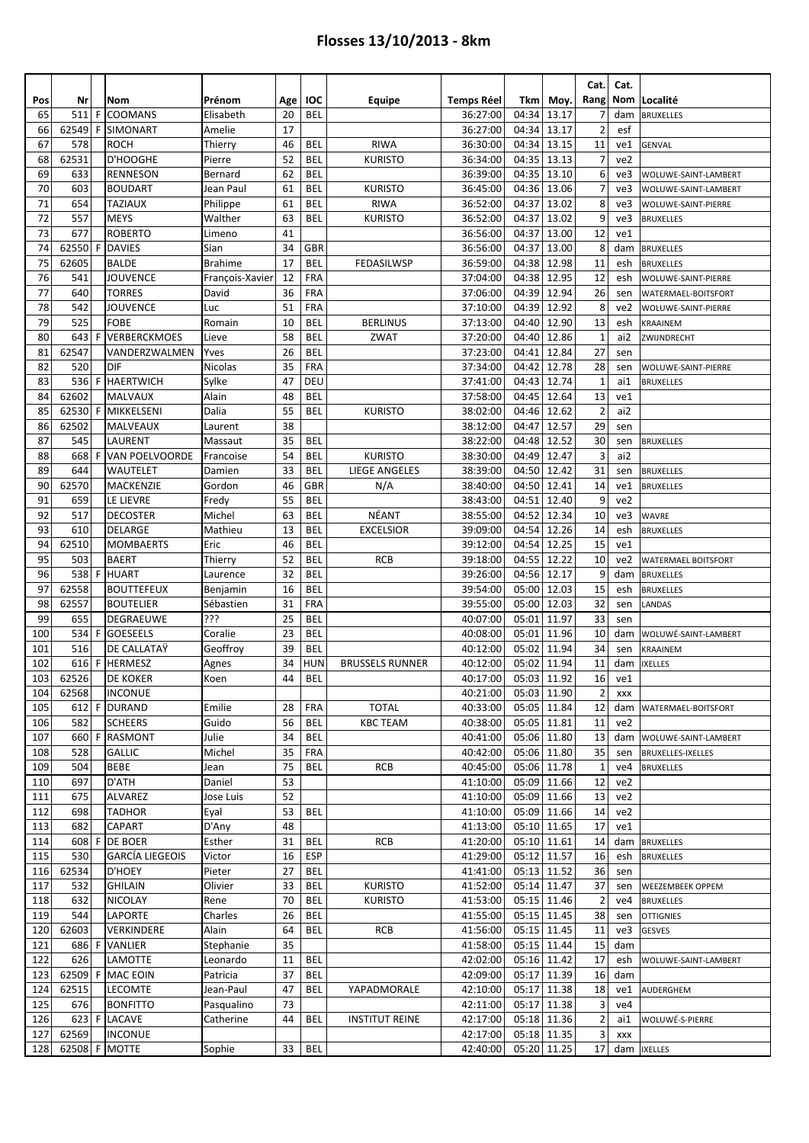|     |         |    |                        |                 |     |            |                        |            |       |                            | Cat.               | Cat.            |                          |
|-----|---------|----|------------------------|-----------------|-----|------------|------------------------|------------|-------|----------------------------|--------------------|-----------------|--------------------------|
| Pos | Nr      |    | Nom                    | Prénom          | Age | <b>IOC</b> | Equipe                 | Temps Réel | Tkm   | Moy.                       | Rang               |                 | Nom Localité             |
| 65  | 511     | F  | <b>COOMANS</b>         | Elisabeth       | 20  | <b>BEL</b> |                        | 36:27:00   | 04:34 | 13.17                      | 7                  | dam             | <b>BRUXELLES</b>         |
| 66  | 62549   | F  | SIMONART               | Amelie          | 17  |            |                        | 36:27:00   | 04:34 | 13.17                      | $\overline{2}$     | esf             |                          |
| 67  | 578     |    | <b>ROCH</b>            | Thierry         | 46  | <b>BEL</b> | <b>RIWA</b>            | 36:30:00   | 04:34 | 13.15                      | 11                 | ve1             | <b>GENVAL</b>            |
| 68  | 62531   |    | <b>D'HOOGHE</b>        | Pierre          | 52  | <b>BEL</b> | <b>KURISTO</b>         | 36:34:00   | 04:35 | 13.13                      | 7                  | ve2             |                          |
| 69  | 633     |    | <b>RENNESON</b>        | Bernard         | 62  | BEL        |                        | 36:39:00   | 04:35 | 13.10                      | 6                  | ve3             | WOLUWE-SAINT-LAMBERT     |
| 70  | 603     |    | <b>BOUDART</b>         | Jean Paul       | 61  | <b>BEL</b> | <b>KURISTO</b>         | 36:45:00   | 04:36 | 13.06                      | $\overline{7}$     | ve3             | WOLUWE-SAINT-LAMBERT     |
| 71  | 654     |    | <b>TAZIAUX</b>         | Philippe        | 61  | <b>BEL</b> | <b>RIWA</b>            | 36:52:00   | 04:37 | 13.02                      | 8                  | ve3             | WOLUWE-SAINT-PIERRE      |
| 72  | 557     |    | <b>MEYS</b>            | Walther         | 63  | <b>BEL</b> | <b>KURISTO</b>         | 36:52:00   | 04:37 | 13.02                      | 9                  | ve3             | <b>BRUXELLES</b>         |
| 73  | 677     |    | <b>ROBERTO</b>         | Limeno          | 41  |            |                        | 36:56:00   | 04:37 | 13.00                      | 12                 | ve1             |                          |
| 74  | 62550   | F. | <b>DAVIES</b>          | Sian            | 34  | <b>GBR</b> |                        | 36:56:00   | 04:37 | 13.00                      | 8                  | dam             | <b>BRUXELLES</b>         |
| 75  | 62605   |    | <b>BALDE</b>           | <b>Brahime</b>  | 17  | <b>BEL</b> | <b>FEDASILWSP</b>      | 36:59:00   | 04:38 | 12.98                      | 11                 | esh             | <b>BRUXELLES</b>         |
| 76  | 541     |    | <b>JOUVENCE</b>        | François-Xavier | 12  | FRA        |                        | 37:04:00   | 04:38 | 12.95                      | 12                 | esh             | WOLUWE-SAINT-PIERRE      |
| 77  | 640     |    | <b>TORRES</b>          | David           | 36  | FRA        |                        | 37:06:00   | 04:39 | 12.94                      | 26                 | sen             | WATERMAEL-BOITSFORT      |
| 78  | 542     |    | <b>JOUVENCE</b>        | Luc             | 51  | <b>FRA</b> |                        | 37:10:00   | 04:39 | 12.92                      | 8                  | ve <sub>2</sub> | WOLUWE-SAINT-PIERRE      |
| 79  | 525     |    | <b>FOBE</b>            | Romain          | 10  | BEL        | <b>BERLINUS</b>        | 37:13:00   | 04:40 | 12.90                      | 13                 | esh             | KRAAINEM                 |
| 80  | 643     | F  | VERBERCKMOES           | Lieve           | 58  | BEL        | ZWAT                   | 37:20:00   | 04:40 | 12.86                      | $\mathbf{1}$       | ai2             | ZWIJNDRECHT              |
| 81  | 62547   |    | VANDERZWALMEN          | Yves            | 26  | <b>BEL</b> |                        | 37:23:00   | 04:41 | 12.84                      | 27                 | sen             |                          |
| 82  | 520     |    | <b>DIF</b>             | <b>Nicolas</b>  | 35  | FRA        |                        | 37:34:00   | 04:42 | 12.78                      | 28                 | sen             | WOLUWE-SAINT-PIERRE      |
| 83  | 536     | F. | <b>HAERTWICH</b>       | Sylke           | 47  | DEU        |                        | 37:41:00   | 04:43 | 12.74                      | $\mathbf{1}$       | ai1             | <b>BRUXELLES</b>         |
| 84  | 62602   |    | <b>MALVAUX</b>         | Alain           | 48  | <b>BEL</b> |                        | 37:58:00   | 04:45 | 12.64                      | 13                 | ve1             |                          |
| 85  | 62530 F |    | MIKKELSENI             | Dalia           | 55  | BEL        | <b>KURISTO</b>         | 38:02:00   | 04:46 | 12.62                      | $\overline{2}$     | ai2             |                          |
| 86  | 62502   |    | MALVEAUX               | Laurent         | 38  |            |                        | 38:12:00   | 04:47 | 12.57                      | 29                 | sen             |                          |
| 87  | 545     |    | LAURENT                | Massaut         | 35  | <b>BEL</b> |                        | 38:22:00   | 04:48 | 12.52                      | 30                 | sen             | <b>BRUXELLES</b>         |
| 88  | 668     | F. | VAN POELVOORDE         | Francoise       | 54  | <b>BEL</b> | <b>KURISTO</b>         | 38:30:00   | 04:49 | 12.47                      | 3                  | ai2             |                          |
| 89  | 644     |    | <b>WAUTELET</b>        | Damien          | 33  | <b>BEL</b> | <b>LIEGE ANGELES</b>   | 38:39:00   | 04:50 | 12.42                      | 31                 | sen             | <b>BRUXELLES</b>         |
| 90  | 62570   |    | MACKENZIE              | Gordon          | 46  | GBR        | N/A                    | 38:40:00   | 04:50 | 12.41                      | 14                 | ve1             | <b>BRUXELLES</b>         |
| 91  | 659     |    | LE LIEVRE              | Fredy           | 55  | <b>BEL</b> |                        | 38:43:00   | 04:51 | 12.40                      | 9                  | ve2             |                          |
| 92  | 517     |    | <b>DECOSTER</b>        | Michel          | 63  | <b>BEL</b> | NÉANT                  | 38:55:00   | 04:52 | 12.34                      | 10                 | ve3             | <b>WAVRE</b>             |
| 93  | 610     |    | <b>DELARGE</b>         | Mathieu         | 13  | <b>BEL</b> | <b>EXCELSIOR</b>       | 39:09:00   | 04:54 | 12.26                      | 14                 | esh             | <b>BRUXELLES</b>         |
| 94  | 62510   |    | <b>MOMBAERTS</b>       | Eric            | 46  | BEL        |                        | 39:12:00   | 04:54 | 12.25                      | 15                 | ve1             |                          |
| 95  | 503     |    | <b>BAERT</b>           | Thierry         | 52  | <b>BEL</b> | <b>RCB</b>             | 39:18:00   | 04:55 | 12.22                      | 10                 | ve <sub>2</sub> | WATERMAEL BOITSFORT      |
| 96  | 538     | F  | <b>HUART</b>           | Laurence        | 32  | <b>BEL</b> |                        | 39:26:00   | 04:56 | 12.17                      | 9                  | dam             | <b>BRUXELLES</b>         |
| 97  | 62558   |    | <b>BOUTTEFEUX</b>      | Benjamin        | 16  | BEL        |                        | 39:54:00   | 05:00 | 12.03                      | 15                 | esh             | <b>BRUXELLES</b>         |
| 98  | 62557   |    | <b>BOUTELIER</b>       | Sébastien       | 31  | FRA        |                        | 39:55:00   | 05:00 | 12.03                      | 32                 | sen             | LANDAS                   |
| 99  | 655     |    | DEGRAEUWE              | ???             | 25  | <b>BEL</b> |                        | 40:07:00   | 05:01 | 11.97                      | 33                 | sen             |                          |
| 100 | 534     | F  | <b>GOESEELS</b>        | Coralie         | 23  | <b>BEL</b> |                        | 40:08:00   | 05:01 | 11.96                      | 10                 | dam             | WOLUWÉ-SAINT-LAMBERT     |
| 101 | 516     |    | DE CALLATAY            | Geoffroy        | 39  | BEL        |                        | 40:12:00   | 05:02 | 11.94                      | 34                 | sen             | KRAAINEM                 |
| 102 | 616     | F. | <b>HERMESZ</b>         |                 | 34  | HUN        | <b>BRUSSELS RUNNER</b> | 40:12:00   | 05:02 | 11.94                      | 11                 | dam             | <b>IXELLES</b>           |
| 103 | 62526   |    | DE KOKER               | Agnes<br>Koen   | 44  | <b>BEL</b> |                        | 40:17:00   | 05:03 | 11.92                      | 16                 | ve1             |                          |
| 104 | 62568   |    | <b>INCONUE</b>         |                 |     |            |                        | 40:21:00   |       | 05:03 11.90                | $2 \vert$          |                 |                          |
| 105 | $612$ F |    | <b>DURAND</b>          | Emilie          |     |            | <b>TOTAL</b>           | 40:33:00   |       | 05:05 11.84                | 12                 | XXX<br>dam      |                          |
|     |         |    |                        |                 | 28  | FRA        |                        |            |       |                            |                    |                 | WATERMAEL-BOITSFORT      |
| 106 | 582     |    | <b>SCHEERS</b>         | Guido           | 56  | <b>BEL</b> | <b>KBC TEAM</b>        | 40:38:00   |       | 05:05 11.81                | 11                 | ve2             |                          |
| 107 |         |    | 660 F RASMONT          | Julie           | 34  | <b>BEL</b> |                        | 40:41:00   |       | 05:06 11.80                | 13                 | dam             | WOLUWE-SAINT-LAMBERT     |
| 108 | 528     |    | <b>GALLIC</b>          | Michel          | 35  | FRA        |                        | 40:42:00   |       | 05:06 11.80                | 35                 | sen             | <b>BRUXELLES-IXELLES</b> |
| 109 | 504     |    | BEBE<br>D'ATH          | Jean            | 75  | <b>BEL</b> | <b>RCB</b>             | 40:45:00   |       | 05:06 11.78<br>05:09 11.66 | $\mathbf{1}$<br>12 | ve4             | <b>BRUXELLES</b>         |
| 110 | 697     |    |                        | Daniel          | 53  |            |                        | 41:10:00   |       |                            |                    | ve2             |                          |
| 111 | 675     |    | <b>ALVAREZ</b>         | Jose Luis       | 52  |            |                        | 41:10:00   |       | 05:09 11.66                | 13                 | ve2             |                          |
| 112 | 698     |    | <b>TADHOR</b>          | Eyal            | 53  | BEL        |                        | 41:10:00   |       | 05:09 11.66                | 14                 | ve2             |                          |
| 113 | 682     |    | CAPART                 | D'Any           | 48  |            |                        | 41:13:00   |       | 05:10 11.65                | 17                 | ve1             |                          |
| 114 | 608 F   |    | <b>DE BOER</b>         | Esther          | 31  | <b>BEL</b> | <b>RCB</b>             | 41:20:00   |       | $05:10$ 11.61              | 14                 | dam             | <b>BRUXELLES</b>         |
| 115 | 530     |    | <b>GARCÍA LIEGEOIS</b> | Victor          | 16  | <b>ESP</b> |                        | 41:29:00   |       | 05:12 11.57                | 16                 | esh             | <b>BRUXELLES</b>         |
| 116 | 62534   |    | D'HOEY                 | Pieter          | 27  | <b>BEL</b> |                        | 41:41:00   |       | 05:13 11.52                | 36                 | sen             |                          |
| 117 | 532     |    | <b>GHILAIN</b>         | Olivier         | 33  | <b>BEL</b> | <b>KURISTO</b>         | 41:52:00   | 05:14 | 11.47                      | 37                 | sen             | WEEZEMBEEK OPPEM         |
| 118 | 632     |    | <b>NICOLAY</b>         | Rene            | 70  | <b>BEL</b> | <b>KURISTO</b>         | 41:53:00   |       | 05:15 11.46                | $\overline{2}$     | ve4             | <b>BRUXELLES</b>         |
| 119 | 544     |    | LAPORTE                | Charles         | 26  | <b>BEL</b> |                        | 41:55:00   |       | 05:15 11.45                | 38                 | sen             | <b>OTTIGNIES</b>         |
| 120 | 62603   |    | VERKINDERE             | Alain           | 64  | <b>BEL</b> | RCB                    | 41:56:00   |       | 05:15 11.45                | 11                 | ve3             | <b>GESVES</b>            |
| 121 | 686 F   |    | VANLIER                | Stephanie       | 35  |            |                        | 41:58:00   |       | 05:15 11.44                | 15                 | dam             |                          |
| 122 | 626     |    | LAMOTTE                | Leonardo        | 11  | <b>BEL</b> |                        | 42:02:00   |       | 05:16 11.42                | 17                 | esh             | WOLUWE-SAINT-LAMBERT     |
| 123 | 62509 F |    | MAC EOIN               | Patricia        | 37  | <b>BEL</b> |                        | 42:09:00   | 05:17 | 11.39                      | 16                 | dam             |                          |
| 124 | 62515   |    | <b>LECOMTE</b>         | Jean-Paul       | 47  | <b>BEL</b> | YAPADMORALE            | 42:10:00   | 05:17 | 11.38                      | 18                 | ve1             | AUDERGHEM                |
| 125 | 676     |    | <b>BONFITTO</b>        | Pasqualino      | 73  |            |                        | 42:11:00   |       | 05:17 11.38                | $\overline{3}$     | ve4             |                          |
| 126 | $623$ F |    | LACAVE                 | Catherine       | 44  | BEL        | <b>INSTITUT REINE</b>  | 42:17:00   |       | 05:18 11.36                | $\overline{2}$     | ai1             | WOLUWÉ-S-PIERRE          |
| 127 | 62569   |    | <b>INCONUE</b>         |                 |     |            |                        | 42:17:00   |       | 05:18 11.35                | 3                  | XXX             |                          |
| 128 |         |    | 62508 F MOTTE          | Sophie          | 33  | <b>BEL</b> |                        | 42:40:00   |       | 05:20 11.25                | 17                 |                 | dam   IXELLES            |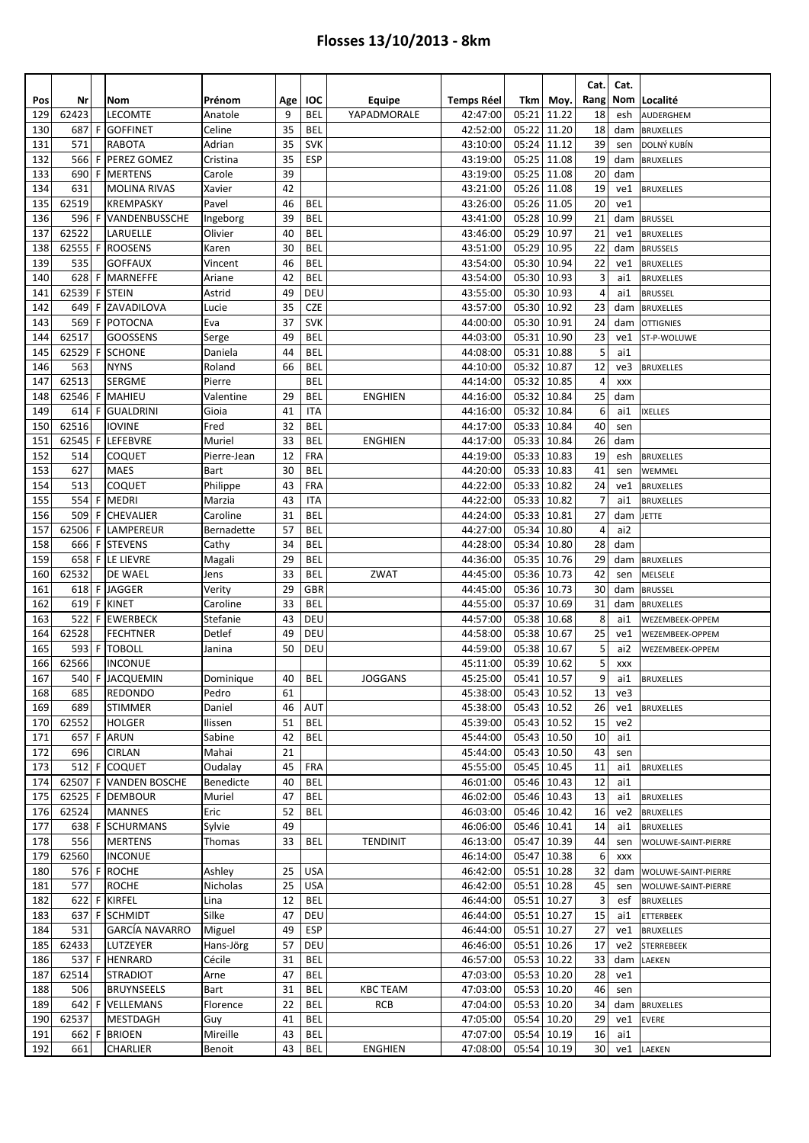|            |                    |    |                                    |                  |          |                          |                 |                      |                |                            | Cat.            | Cat.       |                                      |
|------------|--------------------|----|------------------------------------|------------------|----------|--------------------------|-----------------|----------------------|----------------|----------------------------|-----------------|------------|--------------------------------------|
| Pos        | Nr                 |    | Nom                                | Prénom           | Age      | <b>IOC</b>               | Equipe          | <b>Temps Réel</b>    | Tkm            | Moy.                       | Rang            | Nom        | Localité                             |
| 129        | 62423              |    | <b>LECOMTE</b>                     | Anatole          | 9        | BEL                      | YAPADMORALE     | 42:47:00             | 05:21          | 11.22                      | 18              | esh        | AUDERGHEM                            |
| 130        | 687                | F. | <b>GOFFINET</b>                    | Celine           | 35       | <b>BEL</b>               |                 | 42:52:00             | 05:22          | 11.20                      | 18              | dam        | <b>BRUXELLES</b>                     |
| 131        | 571                |    | <b>RABOTA</b>                      | Adrian           | 35       | <b>SVK</b>               |                 | 43:10:00             | 05:24          | 11.12                      | 39              | sen        | DOLNÝ KUBÍN                          |
| 132        |                    |    | 566 F PEREZ GOMEZ                  | Cristina         | 35       | <b>ESP</b>               |                 | 43:19:00             | 05:25          | 11.08                      | 19              | dam        | <b>BRUXELLES</b>                     |
| 133        |                    |    | 690 F MERTENS                      | Carole           | 39       |                          |                 | 43:19:00             | 05:25          | 11.08                      | 20              | dam        |                                      |
| 134        | 631                |    | <b>MOLINA RIVAS</b>                | Xavier           | 42       |                          |                 | 43:21:00             | 05:26          | 11.08                      | 19              | ve1        | <b>BRUXELLES</b>                     |
| 135        | 62519              |    | <b>KREMPASKY</b>                   | Pavel            | 46       | <b>BEL</b>               |                 | 43:26:00             | 05:26          | 11.05                      | 20              | ve1        |                                      |
| 136        | 596                | F  | <b>VANDENBUSSCHE</b>               | Ingeborg         | 39       | <b>BEL</b>               |                 | 43:41:00             | 05:28          | 10.99                      | 21              | dam        | <b>BRUSSEL</b>                       |
| 137        | 62522              |    | LARUELLE                           | Olivier          | 40       | <b>BEL</b>               |                 | 43:46:00             | 05:29          | 10.97                      | 21              | ve1        | <b>BRUXELLES</b>                     |
| 138        | $62555$ F          |    | ROOSENS                            | Karen            | 30       | <b>BEL</b>               |                 | 43:51:00             | 05:29          | 10.95                      | 22              | dam        | <b>BRUSSELS</b>                      |
| 139        | 535                |    | <b>GOFFAUX</b>                     | Vincent          | 46       | <b>BEL</b>               |                 | 43:54:00             |                | 05:30 10.94                | 22              | ve1        | <b>BRUXELLES</b>                     |
| 140        | 628                |    | F MARNEFFE                         | Ariane           | 42       | <b>BEL</b>               |                 | 43:54:00             | 05:30          | 10.93                      | 3               | ai1        | <b>BRUXELLES</b>                     |
| 141        | 62539              | F. | <b>STEIN</b>                       | Astrid           | 49       | DEU                      |                 | 43:55:00             | 05:30          | 10.93                      | 4               | ai1        | <b>BRUSSEL</b>                       |
| 142        | 649 F              |    | ZAVADILOVA                         | Lucie            | 35       | <b>CZE</b>               |                 | 43:57:00             | 05:30          | 10.92                      | 23              | dam        | <b>BRUXELLES</b>                     |
| 143        |                    |    | 569 F POTOCNA                      | Eva              | 37       | <b>SVK</b>               |                 | 44:00:00             | 05:30          | 10.91                      | 24              | dam        | <b>OTTIGNIES</b>                     |
| 144<br>145 | 62517<br>$62529$ F |    | <b>GOOSSENS</b><br><b>SCHONE</b>   | Serge<br>Daniela | 49<br>44 | <b>BEL</b><br><b>BEL</b> |                 | 44:03:00<br>44:08:00 | 05:31<br>05:31 | 10.90<br>10.88             | 23<br>5         | ve1        | ST-P-WOLUWE                          |
| 146        | 563                |    | <b>NYNS</b>                        | Roland           | 66       | <b>BEL</b>               |                 | 44:10:00             | 05:32          | 10.87                      | 12              | ai1        |                                      |
| 147        | 62513              |    | <b>SERGME</b>                      | Pierre           |          | <b>BEL</b>               |                 | 44:14:00             | 05:32          | 10.85                      | $\overline{4}$  | ve3        | <b>BRUXELLES</b>                     |
| 148        | 62546              | F  | MAHIEU                             | Valentine        | 29       | BEL                      | <b>ENGHIEN</b>  | 44:16:00             | 05:32          | 10.84                      | 25              | XXX<br>dam |                                      |
| 149        | 614 F              |    | GUALDRINI                          | Gioia            | 41       | <b>ITA</b>               |                 | 44:16:00             | 05:32          | 10.84                      | 6               | ai1        | <b>IXELLES</b>                       |
| 150        | 62516              |    | <b>IOVINE</b>                      | Fred             | 32       | <b>BEL</b>               |                 | 44:17:00             | 05:33          | 10.84                      | 40              | sen        |                                      |
| 151        |                    |    | 62545 F LEFEBVRE                   | Muriel           | 33       | <b>BEL</b>               | <b>ENGHIEN</b>  | 44:17:00             | 05:33          | 10.84                      | 26              | dam        |                                      |
| 152        | 514                |    | <b>COQUET</b>                      | Pierre-Jean      | 12       | <b>FRA</b>               |                 | 44:19:00             | 05:33          | 10.83                      | 19              | esh        | <b>BRUXELLES</b>                     |
| 153        | 627                |    | <b>MAES</b>                        | Bart             | 30       | <b>BEL</b>               |                 | 44:20:00             | 05:33          | 10.83                      | 41              | sen        | WEMMEL                               |
| 154        | 513                |    | COQUET                             | Philippe         | 43       | <b>FRA</b>               |                 | 44:22:00             | 05:33          | 10.82                      | 24              | ve1        | <b>BRUXELLES</b>                     |
| 155        | 554 F              |    | MEDRI                              | Marzia           | 43       | <b>ITA</b>               |                 | 44:22:00             | 05:33          | 10.82                      | $\overline{7}$  | ai1        | <b>BRUXELLES</b>                     |
| 156        | 509                | F. | <b>CHEVALIER</b>                   | Caroline         | 31       | <b>BEL</b>               |                 | 44:24:00             | 05:33          | 10.81                      | 27              | dam        | <b>JETTE</b>                         |
| 157        | 62506              |    | F LAMPEREUR                        | Bernadette       | 57       | <b>BEL</b>               |                 | 44:27:00             | 05:34          | 10.80                      | 4               | ai2        |                                      |
| 158        | 666 F              |    | <b>STEVENS</b>                     | Cathy            | 34       | <b>BEL</b>               |                 | 44:28:00             | 05:34          | 10.80                      | 28              | dam        |                                      |
| 159        |                    |    | 658 F LE LIEVRE                    | Magali           | 29       | <b>BEL</b>               |                 | 44:36:00             | 05:35          | 10.76                      | 29              | dam        | <b>BRUXELLES</b>                     |
| 160        | 62532              |    | DE WAEL                            | Jens             | 33       | <b>BEL</b>               | ZWAT            | 44:45:00             | 05:36          | 10.73                      | 42              | sen        | MELSELE                              |
| 161        |                    |    | $618$ F JAGGER                     | Verity           | 29       | <b>GBR</b>               |                 | 44:45:00             | 05:36          | 10.73                      | 30              | dam        | <b>BRUSSEL</b>                       |
| 162        | 619                |    | F KINET                            | Caroline         | 33       | <b>BEL</b>               |                 | 44:55:00             | 05:37          | 10.69                      | 31              | dam        | <b>BRUXELLES</b>                     |
| 163        | 522                | F  | <b>EWERBECK</b>                    | Stefanie         | 43       | DEU                      |                 | 44:57:00             | 05:38          | 10.68                      | 8               | ai1        | WEZEMBEEK-OPPEM                      |
| 164        | 62528              |    | <b>FECHTNER</b>                    | Detlef           | 49       | DEU                      |                 | 44:58:00             | 05:38          | 10.67                      | 25              | ve1        | WEZEMBEEK-OPPEM                      |
| 165        |                    |    | 593 F TOBOLL                       | Janina           | 50       | DEU                      |                 | 44:59:00             | 05:38          | 10.67                      | 5               | ai2        | WEZEMBEEK-OPPEM                      |
| 166        | 62566              |    | <b>INCONUE</b>                     |                  |          |                          |                 | 45:11:00             |                | 05:39 10.62                | 5               | <b>XXX</b> |                                      |
| 167        |                    |    | 540 F JACQUEMIN                    | Dominique        |          | $40$ BEL                 | <b>JOGGANS</b>  | 45:25:00             |                | 05:41 10.57                | 9 <sup>1</sup>  | ai1        | <b>BRUXELLES</b>                     |
| 168        | 685                |    | <b>REDONDO</b>                     | Pedro            | 61       |                          |                 | 45:38:00             |                | 05:43 10.52                | 13              | ve3        |                                      |
| 169        | 689                |    | <b>STIMMER</b>                     | Daniel           | 46       | <b>AUT</b>               |                 | 45:38:00             |                | 05:43 10.52                | 26              | ve1        | <b>BRUXELLES</b>                     |
| 170        | 62552              |    | <b>HOLGER</b>                      | Ilissen          | 51       | <b>BEL</b>               |                 | 45:39:00             |                | 05:43 10.52                | 15              | ve2        |                                      |
| 171        |                    |    | 657 F ARUN                         | Sabine           | 42       | BEL                      |                 | 45:44:00             |                | 05:43 10.50                | 10              | ai1        |                                      |
| 172        | 696                |    | <b>CIRLAN</b>                      | Mahai            | 21       |                          |                 | 45:44:00             |                | 05:43 10.50                | 43              | sen        |                                      |
| 173        |                    |    | $512$ F COQUET                     | Oudalay          | 45       | <b>FRA</b>               |                 | 45:55:00             |                | 05:45 10.45                | 11              | ai1        | <b>BRUXELLES</b>                     |
| 174        |                    |    | 62507 F VANDEN BOSCHE              | Benedicte        | 40       | BEL                      |                 | 46:01:00             |                | 05:46 10.43                | 12              | ai1        |                                      |
| 175        |                    |    | $62525$ F DEMBOUR<br><b>MANNES</b> | Muriel<br>Eric   | 47       | <b>BEL</b><br>BEL        |                 | 46:02:00             |                | 05:46 10.43                | 13              | ai1        | <b>BRUXELLES</b>                     |
| 176<br>177 | 62524              |    | 638 F SCHURMANS                    | Sylvie           | 52<br>49 |                          |                 | 46:03:00<br>46:06:00 |                | 05:46 10.42<br>05:46 10.41 | 16<br>14        | ve2<br>ai1 | <b>BRUXELLES</b><br><b>BRUXELLES</b> |
| 178        | 556                |    | MERTENS                            | Thomas           | 33       | BEL                      | <b>TENDINIT</b> | 46:13:00             |                | 05:47 10.39                | 44              | sen        | WOLUWE-SAINT-PIERRE                  |
| 179        | 62560              |    | <b>INCONUE</b>                     |                  |          |                          |                 | 46:14:00             |                | 05:47 10.38                | 6               | <b>XXX</b> |                                      |
| 180        |                    |    | 576 F ROCHE                        | Ashley           | 25       | <b>USA</b>               |                 | 46:42:00             |                | 05:51 10.28                | 32              | dam        | WOLUWE-SAINT-PIERRE                  |
| 181        | 577                |    | <b>ROCHE</b>                       | Nicholas         | 25       | <b>USA</b>               |                 | 46:42:00             |                | 05:51 10.28                | 45              | sen        | WOLUWE-SAINT-PIERRE                  |
| 182        |                    |    | 622 F KIRFEL                       | Lina             | 12       | <b>BEL</b>               |                 | 46:44:00             |                | 05:51 10.27                | 3               | esf        | <b>BRUXELLES</b>                     |
| 183        |                    |    | 637 F SCHMIDT                      | Silke            | 47       | DEU                      |                 | 46:44:00             |                | 05:51 10.27                | 15              | ai1        | <b>ETTERBEEK</b>                     |
| 184        | 531                |    | GARCÍA NAVARRO                     | Miguel           | 49       | ESP                      |                 | 46:44:00             |                | 05:51 10.27                | 27              | ve1        | <b>BRUXELLES</b>                     |
| 185        | 62433              |    | LUTZEYER                           | Hans-Jörg        | 57       | DEU                      |                 | 46:46:00             |                | 05:51 10.26                | 17              | ve2        | <b>STERREBEEK</b>                    |
| 186        |                    |    | 537 F HENRARD                      | Cécile           | 31       | <b>BEL</b>               |                 | 46:57:00             |                | 05:53 10.22                | 33              | dam        | LAEKEN                               |
| 187        | 62514              |    | <b>STRADIOT</b>                    | Arne             | 47       | <b>BEL</b>               |                 | 47:03:00             |                | 05:53 10.20                | 28              | ve1        |                                      |
| 188        | 506                |    | <b>BRUYNSEELS</b>                  | Bart             | 31       | <b>BEL</b>               | <b>KBC TEAM</b> | 47:03:00             |                | 05:53 10.20                | 46              | sen        |                                      |
| 189        |                    |    | 642 F VELLEMANS                    | Florence         | 22       | <b>BEL</b>               | <b>RCB</b>      | 47:04:00             |                | 05:53 10.20                | 34              |            | dam BRUXELLES                        |
| 190        | 62537              |    | <b>MESTDAGH</b>                    | Guy              | 41       | <b>BEL</b>               |                 | 47:05:00             |                | 05:54 10.20                | 29              | ve1        | <b>EVERE</b>                         |
| 191        |                    |    | 662 F BRIOEN                       | Mireille         | 43       | BEL                      |                 | 47:07:00             |                | 05:54 10.19                | 16              | ai1        |                                      |
| 192        | 661                |    | <b>CHARLIER</b>                    | Benoit           | 43       | <b>BEL</b>               | ENGHIEN         | 47:08:00             |                | 05:54 10.19                | 30 <sup>1</sup> | ve1        | LAEKEN                               |